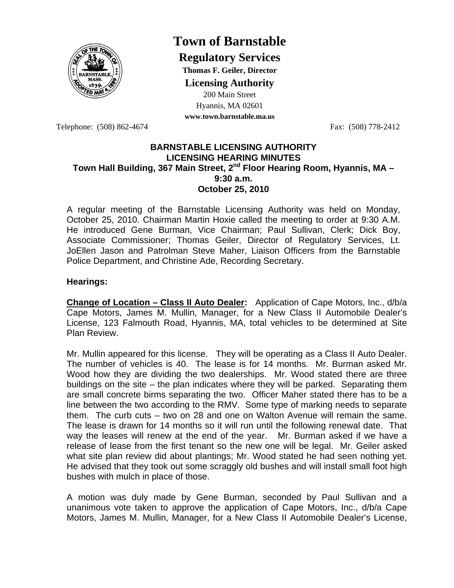

# **Town of Barnstable**

**Regulatory Services**

**Thomas F. Geiler, Director** 

**Licensing Authority**

200 Main Street Hyannis, MA 02601 **www.town.barnstable.ma.us**

Telephone: (508) 862-4674 Fax: (508) 778-2412

## **BARNSTABLE LICENSING AUTHORITY LICENSING HEARING MINUTES**  Town Hall Building, 367 Main Street, 2<sup>nd</sup> Floor Hearing Room, Hyannis, MA -**9:30 a.m. October 25, 2010**

A regular meeting of the Barnstable Licensing Authority was held on Monday, October 25, 2010. Chairman Martin Hoxie called the meeting to order at 9:30 A.M. He introduced Gene Burman, Vice Chairman; Paul Sullivan, Clerk; Dick Boy, Associate Commissioner; Thomas Geiler, Director of Regulatory Services, Lt. JoEllen Jason and Patrolman Steve Maher, Liaison Officers from the Barnstable Police Department, and Christine Ade, Recording Secretary.

# **Hearings:**

**Change of Location – Class II Auto Dealer:** Application of Cape Motors, Inc., d/b/a Cape Motors, James M. Mullin, Manager, for a New Class II Automobile Dealer's License, 123 Falmouth Road, Hyannis, MA, total vehicles to be determined at Site Plan Review.

Mr. Mullin appeared for this license. They will be operating as a Class II Auto Dealer. The number of vehicles is 40. The lease is for 14 months. Mr. Burman asked Mr. Wood how they are dividing the two dealerships. Mr. Wood stated there are three buildings on the site – the plan indicates where they will be parked. Separating them are small concrete birms separating the two. Officer Maher stated there has to be a line between the two according to the RMV. Some type of marking needs to separate them. The curb cuts – two on 28 and one on Walton Avenue will remain the same. The lease is drawn for 14 months so it will run until the following renewal date. That way the leases will renew at the end of the year. Mr. Burman asked if we have a release of lease from the first tenant so the new one will be legal. Mr. Geiler asked what site plan review did about plantings; Mr. Wood stated he had seen nothing yet. He advised that they took out some scraggly old bushes and will install small foot high bushes with mulch in place of those.

A motion was duly made by Gene Burman, seconded by Paul Sullivan and a unanimous vote taken to approve the application of Cape Motors, Inc., d/b/a Cape Motors, James M. Mullin, Manager, for a New Class II Automobile Dealer's License,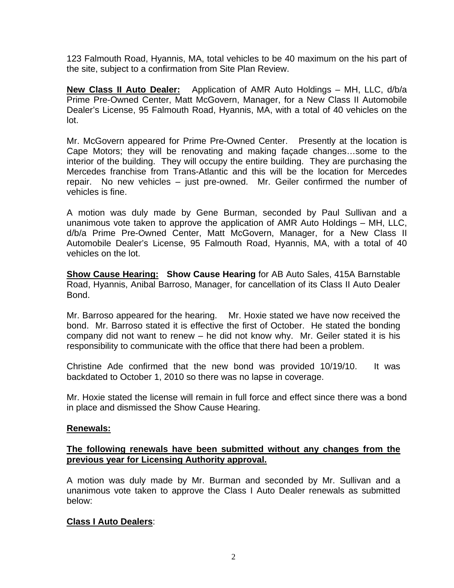123 Falmouth Road, Hyannis, MA, total vehicles to be 40 maximum on the his part of the site, subject to a confirmation from Site Plan Review.

**New Class II Auto Dealer:** Application of AMR Auto Holdings – MH, LLC, d/b/a Prime Pre-Owned Center, Matt McGovern, Manager, for a New Class II Automobile Dealer's License, 95 Falmouth Road, Hyannis, MA, with a total of 40 vehicles on the lot.

Mr. McGovern appeared for Prime Pre-Owned Center. Presently at the location is Cape Motors; they will be renovating and making façade changes…some to the interior of the building. They will occupy the entire building. They are purchasing the Mercedes franchise from Trans-Atlantic and this will be the location for Mercedes repair. No new vehicles – just pre-owned. Mr. Geiler confirmed the number of vehicles is fine.

A motion was duly made by Gene Burman, seconded by Paul Sullivan and a unanimous vote taken to approve the application of AMR Auto Holdings – MH, LLC, d/b/a Prime Pre-Owned Center, Matt McGovern, Manager, for a New Class II Automobile Dealer's License, 95 Falmouth Road, Hyannis, MA, with a total of 40 vehicles on the lot.

**Show Cause Hearing: Show Cause Hearing** for AB Auto Sales, 415A Barnstable Road, Hyannis, Anibal Barroso, Manager, for cancellation of its Class II Auto Dealer Bond.

Mr. Barroso appeared for the hearing. Mr. Hoxie stated we have now received the bond. Mr. Barroso stated it is effective the first of October. He stated the bonding company did not want to renew – he did not know why. Mr. Geiler stated it is his responsibility to communicate with the office that there had been a problem.

Christine Ade confirmed that the new bond was provided 10/19/10. It was backdated to October 1, 2010 so there was no lapse in coverage.

Mr. Hoxie stated the license will remain in full force and effect since there was a bond in place and dismissed the Show Cause Hearing.

# **Renewals:**

# **The following renewals have been submitted without any changes from the previous year for Licensing Authority approval.**

A motion was duly made by Mr. Burman and seconded by Mr. Sullivan and a unanimous vote taken to approve the Class I Auto Dealer renewals as submitted below:

# **Class I Auto Dealers**: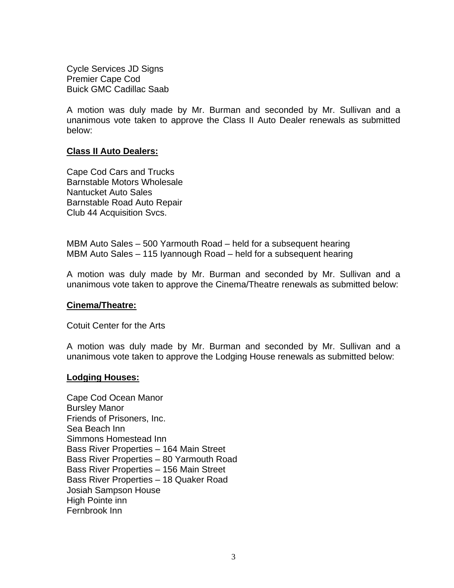Cycle Services JD Signs Premier Cape Cod Buick GMC Cadillac Saab

A motion was duly made by Mr. Burman and seconded by Mr. Sullivan and a unanimous vote taken to approve the Class II Auto Dealer renewals as submitted below:

#### **Class II Auto Dealers:**

Cape Cod Cars and Trucks Barnstable Motors Wholesale Nantucket Auto Sales Barnstable Road Auto Repair Club 44 Acquisition Svcs.

MBM Auto Sales – 500 Yarmouth Road – held for a subsequent hearing MBM Auto Sales – 115 Iyannough Road – held for a subsequent hearing

A motion was duly made by Mr. Burman and seconded by Mr. Sullivan and a unanimous vote taken to approve the Cinema/Theatre renewals as submitted below:

#### **Cinema/Theatre:**

Cotuit Center for the Arts

A motion was duly made by Mr. Burman and seconded by Mr. Sullivan and a unanimous vote taken to approve the Lodging House renewals as submitted below:

#### **Lodging Houses:**

Cape Cod Ocean Manor Bursley Manor Friends of Prisoners, Inc. Sea Beach Inn Simmons Homestead Inn Bass River Properties – 164 Main Street Bass River Properties – 80 Yarmouth Road Bass River Properties – 156 Main Street Bass River Properties – 18 Quaker Road Josiah Sampson House High Pointe inn Fernbrook Inn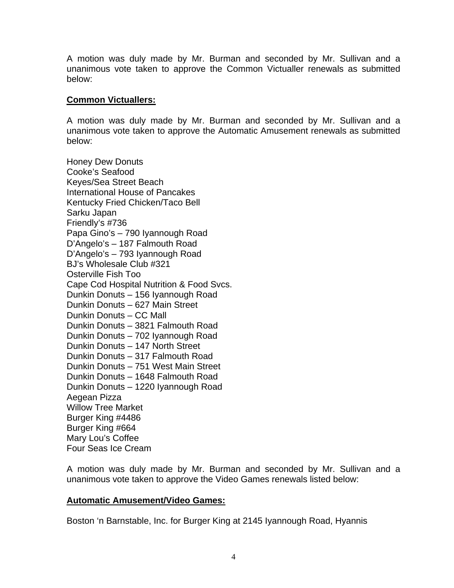A motion was duly made by Mr. Burman and seconded by Mr. Sullivan and a unanimous vote taken to approve the Common Victualler renewals as submitted below:

## **Common Victuallers:**

A motion was duly made by Mr. Burman and seconded by Mr. Sullivan and a unanimous vote taken to approve the Automatic Amusement renewals as submitted below:

Honey Dew Donuts Cooke's Seafood Keyes/Sea Street Beach International House of Pancakes Kentucky Fried Chicken/Taco Bell Sarku Japan Friendly's #736 Papa Gino's – 790 Iyannough Road D'Angelo's – 187 Falmouth Road D'Angelo's – 793 Iyannough Road BJ's Wholesale Club #321 Osterville Fish Too Cape Cod Hospital Nutrition & Food Svcs. Dunkin Donuts – 156 Iyannough Road Dunkin Donuts – 627 Main Street Dunkin Donuts – CC Mall Dunkin Donuts – 3821 Falmouth Road Dunkin Donuts – 702 Iyannough Road Dunkin Donuts – 147 North Street Dunkin Donuts – 317 Falmouth Road Dunkin Donuts – 751 West Main Street Dunkin Donuts – 1648 Falmouth Road Dunkin Donuts – 1220 Iyannough Road Aegean Pizza Willow Tree Market Burger King #4486 Burger King #664 Mary Lou's Coffee Four Seas Ice Cream

A motion was duly made by Mr. Burman and seconded by Mr. Sullivan and a unanimous vote taken to approve the Video Games renewals listed below:

#### **Automatic Amusement/Video Games:**

Boston 'n Barnstable, Inc. for Burger King at 2145 Iyannough Road, Hyannis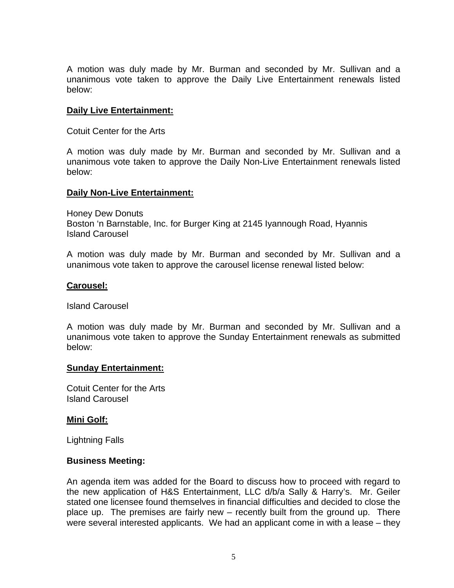A motion was duly made by Mr. Burman and seconded by Mr. Sullivan and a unanimous vote taken to approve the Daily Live Entertainment renewals listed below:

## **Daily Live Entertainment:**

Cotuit Center for the Arts

A motion was duly made by Mr. Burman and seconded by Mr. Sullivan and a unanimous vote taken to approve the Daily Non-Live Entertainment renewals listed below:

## **Daily Non-Live Entertainment:**

Honey Dew Donuts Boston 'n Barnstable, Inc. for Burger King at 2145 Iyannough Road, Hyannis Island Carousel

A motion was duly made by Mr. Burman and seconded by Mr. Sullivan and a unanimous vote taken to approve the carousel license renewal listed below:

## **Carousel:**

Island Carousel

A motion was duly made by Mr. Burman and seconded by Mr. Sullivan and a unanimous vote taken to approve the Sunday Entertainment renewals as submitted below:

#### **Sunday Entertainment:**

Cotuit Center for the Arts Island Carousel

# **Mini Golf:**

Lightning Falls

# **Business Meeting:**

An agenda item was added for the Board to discuss how to proceed with regard to the new application of H&S Entertainment, LLC d/b/a Sally & Harry's. Mr. Geiler stated one licensee found themselves in financial difficulties and decided to close the place up. The premises are fairly new – recently built from the ground up. There were several interested applicants. We had an applicant come in with a lease – they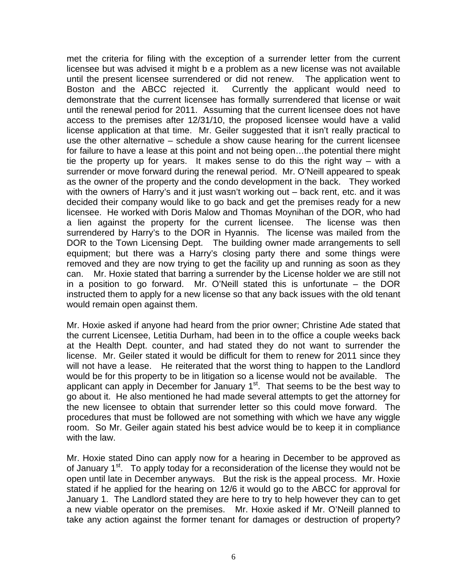met the criteria for filing with the exception of a surrender letter from the current licensee but was advised it might b e a problem as a new license was not available until the present licensee surrendered or did not renew. The application went to Boston and the ABCC rejected it. Currently the applicant would need to demonstrate that the current licensee has formally surrendered that license or wait until the renewal period for 2011. Assuming that the current licensee does not have access to the premises after 12/31/10, the proposed licensee would have a valid license application at that time. Mr. Geiler suggested that it isn't really practical to use the other alternative – schedule a show cause hearing for the current licensee for failure to have a lease at this point and not being open…the potential there might tie the property up for years. It makes sense to do this the right way – with a surrender or move forward during the renewal period. Mr. O'Neill appeared to speak as the owner of the property and the condo development in the back. They worked with the owners of Harry's and it just wasn't working out – back rent, etc. and it was decided their company would like to go back and get the premises ready for a new licensee. He worked with Doris Malow and Thomas Moynihan of the DOR, who had a lien against the property for the current licensee. The license was then surrendered by Harry's to the DOR in Hyannis. The license was mailed from the DOR to the Town Licensing Dept. The building owner made arrangements to sell equipment; but there was a Harry's closing party there and some things were removed and they are now trying to get the facility up and running as soon as they can. Mr. Hoxie stated that barring a surrender by the License holder we are still not in a position to go forward. Mr. O'Neill stated this is unfortunate – the DOR instructed them to apply for a new license so that any back issues with the old tenant would remain open against them.

Mr. Hoxie asked if anyone had heard from the prior owner; Christine Ade stated that the current Licensee, Letitia Durham, had been in to the office a couple weeks back at the Health Dept. counter, and had stated they do not want to surrender the license. Mr. Geiler stated it would be difficult for them to renew for 2011 since they will not have a lease. He reiterated that the worst thing to happen to the Landlord would be for this property to be in litigation so a license would not be available. The applicant can apply in December for January  $1<sup>st</sup>$ . That seems to be the best way to go about it. He also mentioned he had made several attempts to get the attorney for the new licensee to obtain that surrender letter so this could move forward. The procedures that must be followed are not something with which we have any wiggle room. So Mr. Geiler again stated his best advice would be to keep it in compliance with the law.

Mr. Hoxie stated Dino can apply now for a hearing in December to be approved as of January 1<sup>st</sup>. To apply today for a reconsideration of the license they would not be open until late in December anyways. But the risk is the appeal process. Mr. Hoxie stated if he applied for the hearing on 12/6 it would go to the ABCC for approval for January 1. The Landlord stated they are here to try to help however they can to get a new viable operator on the premises. Mr. Hoxie asked if Mr. O'Neill planned to take any action against the former tenant for damages or destruction of property?